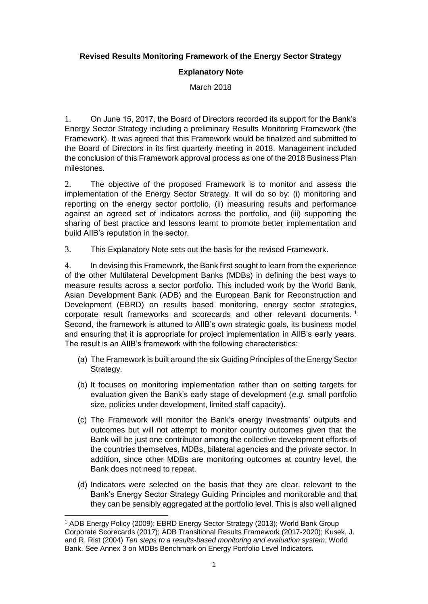## **Revised Results Monitoring Framework of the Energy Sector Strategy**

## **Explanatory Note**

March 2018

1. On June 15, 2017, the Board of Directors recorded its support for the Bank's Energy Sector Strategy including a preliminary Results Monitoring Framework (the Framework). It was agreed that this Framework would be finalized and submitted to the Board of Directors in its first quarterly meeting in 2018. Management included the conclusion of this Framework approval process as one of the 2018 Business Plan milestones.

2. The objective of the proposed Framework is to monitor and assess the implementation of the Energy Sector Strategy. It will do so by: (i) monitoring and reporting on the energy sector portfolio, (ii) measuring results and performance against an agreed set of indicators across the portfolio, and (iii) supporting the sharing of best practice and lessons learnt to promote better implementation and build AIIB's reputation in the sector.

3. This Explanatory Note sets out the basis for the revised Framework.

4. In devising this Framework, the Bank first sought to learn from the experience of the other Multilateral Development Banks (MDBs) in defining the best ways to measure results across a sector portfolio. This included work by the World Bank, Asian Development Bank (ADB) and the European Bank for Reconstruction and Development (EBRD) on results based monitoring, energy sector strategies, corporate result frameworks and scorecards and other relevant documents.<sup>1</sup> Second, the framework is attuned to AIIB's own strategic goals, its business model and ensuring that it is appropriate for project implementation in AIIB's early years. The result is an AIIB's framework with the following characteristics:

- (a) The Framework is built around the six Guiding Principles of the Energy Sector Strategy.
- (b) It focuses on monitoring implementation rather than on setting targets for evaluation given the Bank's early stage of development (*e.g.* small portfolio size, policies under development, limited staff capacity).
- (c) The Framework will monitor the Bank's energy investments' outputs and outcomes but will not attempt to monitor country outcomes given that the Bank will be just one contributor among the collective development efforts of the countries themselves, MDBs, bilateral agencies and the private sector. In addition, since other MDBs are monitoring outcomes at country level, the Bank does not need to repeat.
- (d) Indicators were selected on the basis that they are clear, relevant to the Bank's Energy Sector Strategy Guiding Principles and monitorable and that they can be sensibly aggregated at the portfolio level. This is also well aligned

<sup>1</sup> <sup>1</sup> ADB Energy Policy (2009); EBRD Energy Sector Strategy (2013); World Bank Group Corporate Scorecards (2017); ADB Transitional Results Framework (2017-2020); Kusek, J. and R. Rist (2004) *Ten steps to a results-based monitoring and evaluation system*, World Bank. See Annex 3 on MDBs Benchmark on Energy Portfolio Level Indicators.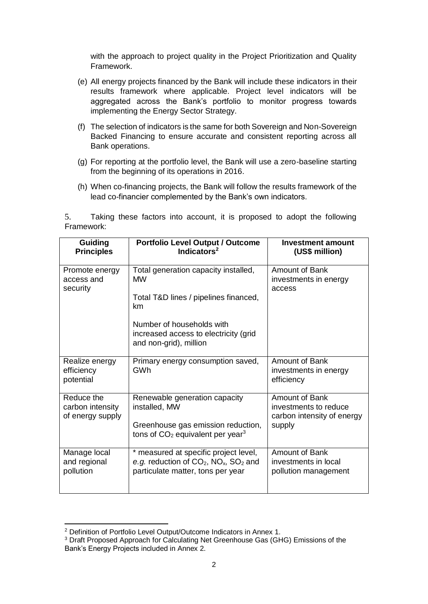with the approach to project quality in the Project Prioritization and Quality Framework.

- (e) All energy projects financed by the Bank will include these indicators in their results framework where applicable. Project level indicators will be aggregated across the Bank's portfolio to monitor progress towards implementing the Energy Sector Strategy.
- (f) The selection of indicators is the same for both Sovereign and Non-Sovereign Backed Financing to ensure accurate and consistent reporting across all Bank operations.
- (g) For reporting at the portfolio level, the Bank will use a zero-baseline starting from the beginning of its operations in 2016.
- (h) When co-financing projects, the Bank will follow the results framework of the lead co-financier complemented by the Bank's own indicators.

5. Taking these factors into account, it is proposed to adopt the following Framework:

| Guiding<br><b>Principles</b>                       | <b>Portfolio Level Output / Outcome</b><br>Indicators $2$                                                                              | <b>Investment amount</b><br>(US\$ million)                                      |
|----------------------------------------------------|----------------------------------------------------------------------------------------------------------------------------------------|---------------------------------------------------------------------------------|
| Promote energy<br>access and<br>security           | Total generation capacity installed,<br><b>MW</b><br>Total T&D lines / pipelines financed,<br>km                                       | Amount of Bank<br>investments in energy<br>access                               |
|                                                    | Number of households with<br>increased access to electricity (grid<br>and non-grid), million                                           |                                                                                 |
| Realize energy<br>efficiency<br>potential          | Primary energy consumption saved,<br>GWh                                                                                               | Amount of Bank<br>investments in energy<br>efficiency                           |
| Reduce the<br>carbon intensity<br>of energy supply | Renewable generation capacity<br>installed, MW<br>Greenhouse gas emission reduction,<br>tons of $CO2$ equivalent per year <sup>3</sup> | Amount of Bank<br>investments to reduce<br>carbon intensity of energy<br>supply |
| Manage local<br>and regional<br>pollution          | * measured at specific project level,<br>e.g. reduction of $CO_2$ , $NO_x$ , $SO_2$ and<br>particulate matter, tons per year           | Amount of Bank<br>investments in local<br>pollution management                  |

<sup>1</sup> <sup>2</sup> Definition of Portfolio Level Output/Outcome Indicators in Annex 1.

<sup>&</sup>lt;sup>3</sup> Draft Proposed Approach for Calculating Net Greenhouse Gas (GHG) Emissions of the Bank's Energy Projects included in Annex 2.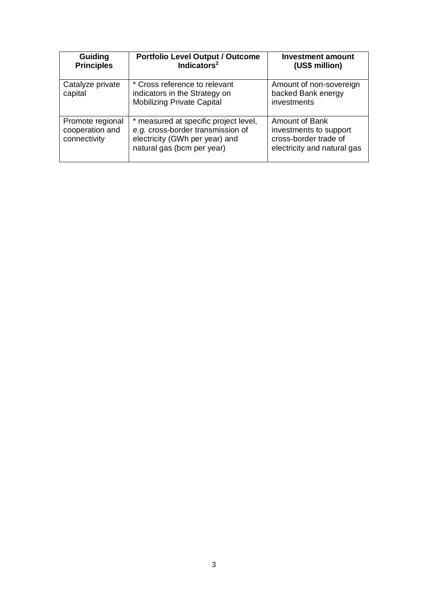| <b>Guiding</b><br><b>Principles</b>                 | <b>Portfolio Level Output / Outcome</b><br>Indicators <sup>2</sup>                                                                         | <b>Investment amount</b><br>(US\$ million)                                                              |
|-----------------------------------------------------|--------------------------------------------------------------------------------------------------------------------------------------------|---------------------------------------------------------------------------------------------------------|
| Catalyze private<br>capital                         | * Cross reference to relevant<br>indicators in the Strategy on<br><b>Mobilizing Private Capital</b>                                        | Amount of non-sovereign<br>backed Bank energy<br>investments                                            |
| Promote regional<br>cooperation and<br>connectivity | * measured at specific project level,<br>e.g. cross-border transmission of<br>electricity (GWh per year) and<br>natural gas (bcm per year) | <b>Amount of Bank</b><br>investments to support<br>cross-border trade of<br>electricity and natural gas |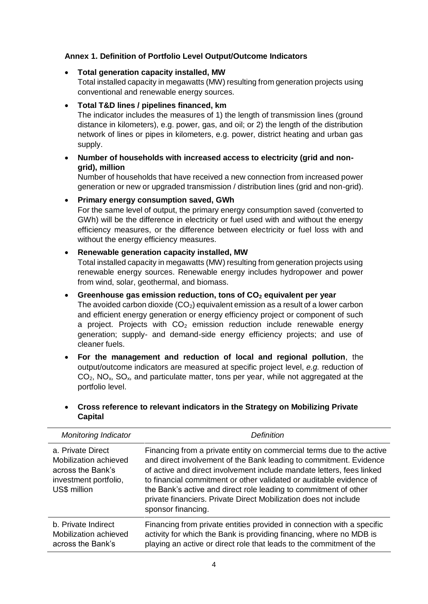# **Annex 1. Definition of Portfolio Level Output/Outcome Indicators**

## • **Total generation capacity installed, MW**

Total installed capacity in megawatts (MW) resulting from generation projects using conventional and renewable energy sources.

## • **Total T&D lines / pipelines financed, km**

The indicator includes the measures of 1) the length of transmission lines (ground distance in kilometers), e.g. power, gas, and oil; or 2) the length of the distribution network of lines or pipes in kilometers, e.g. power, district heating and urban gas supply.

# • **Number of households with increased access to electricity (grid and nongrid), million**

Number of households that have received a new connection from increased power generation or new or upgraded transmission / distribution lines (grid and non-grid).

#### • **Primary energy consumption saved, GWh**

For the same level of output, the primary energy consumption saved (converted to GWh) will be the difference in electricity or fuel used with and without the energy efficiency measures, or the difference between electricity or fuel loss with and without the energy efficiency measures.

#### • **Renewable generation capacity installed, MW**

Total installed capacity in megawatts (MW) resulting from generation projects using renewable energy sources. Renewable energy includes hydropower and power from wind, solar, geothermal, and biomass.

## • **Greenhouse gas emission reduction, tons of CO<sup>2</sup> equivalent per year**

The avoided carbon dioxide  $(CO_2)$  equivalent emission as a result of a lower carbon and efficient energy generation or energy efficiency project or component of such a project. Projects with  $CO<sub>2</sub>$  emission reduction include renewable energy generation; supply- and demand-side energy efficiency projects; and use of cleaner fuels.

• **For the management and reduction of local and regional pollution**, the output/outcome indicators are measured at specific project level, *e.g.* reduction of  $CO<sub>2</sub>$ , NO<sub>x</sub>, SO<sub>x</sub>, and particulate matter, tons per year, while not aggregated at the portfolio level.

## • **Cross reference to relevant indicators in the Strategy on Mobilizing Private Capital**

| <b>Monitoring Indicator</b>                                                                              | Definition                                                                                                                                                                                                                                                                                                                                                                                                                                                |
|----------------------------------------------------------------------------------------------------------|-----------------------------------------------------------------------------------------------------------------------------------------------------------------------------------------------------------------------------------------------------------------------------------------------------------------------------------------------------------------------------------------------------------------------------------------------------------|
| a. Private Direct<br>Mobilization achieved<br>across the Bank's<br>investment portfolio,<br>US\$ million | Financing from a private entity on commercial terms due to the active<br>and direct involvement of the Bank leading to commitment. Evidence<br>of active and direct involvement include mandate letters, fees linked<br>to financial commitment or other validated or auditable evidence of<br>the Bank's active and direct role leading to commitment of other<br>private financiers. Private Direct Mobilization does not include<br>sponsor financing. |
| b. Private Indirect<br>Mobilization achieved<br>across the Bank's                                        | Financing from private entities provided in connection with a specific<br>activity for which the Bank is providing financing, where no MDB is<br>playing an active or direct role that leads to the commitment of the                                                                                                                                                                                                                                     |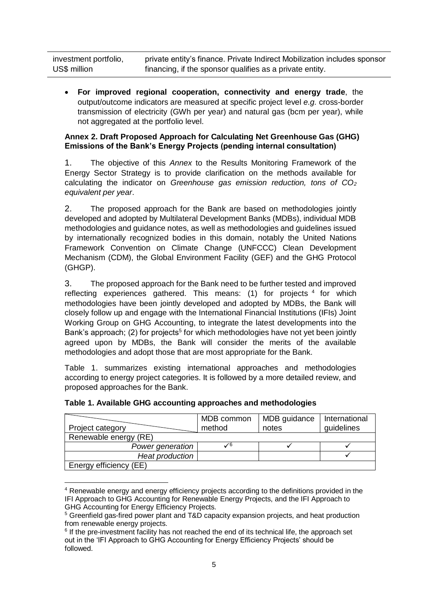| investment portfolio, | private entity's finance. Private Indirect Mobilization includes sponsor |
|-----------------------|--------------------------------------------------------------------------|
| US\$ million          | financing, if the sponsor qualifies as a private entity.                 |

• **For improved regional cooperation, connectivity and energy trade**, the output/outcome indicators are measured at specific project level *e.g.* cross-border transmission of electricity (GWh per year) and natural gas (bcm per year), while not aggregated at the portfolio level.

## **Annex 2. Draft Proposed Approach for Calculating Net Greenhouse Gas (GHG) Emissions of the Bank's Energy Projects (pending internal consultation)**

1. The objective of this *Annex* to the Results Monitoring Framework of the Energy Sector Strategy is to provide clarification on the methods available for calculating the indicator on *Greenhouse gas emission reduction, tons of CO<sup>2</sup> equivalent per year*.

2. The proposed approach for the Bank are based on methodologies jointly developed and adopted by Multilateral Development Banks (MDBs), individual MDB methodologies and guidance notes, as well as methodologies and guidelines issued by internationally recognized bodies in this domain, notably the United Nations Framework Convention on Climate Change (UNFCCC) Clean Development Mechanism (CDM), the Global Environment Facility (GEF) and the GHG Protocol (GHGP).

3. The proposed approach for the Bank need to be further tested and improved reflecting experiences gathered. This means:  $(1)$  for projects  $4$  for which methodologies have been jointly developed and adopted by MDBs, the Bank will closely follow up and engage with the International Financial Institutions (IFIs) Joint Working Group on GHG Accounting, to integrate the latest developments into the Bank's approach; (2) for projects<sup>5</sup> for which methodologies have not yet been jointly agreed upon by MDBs, the Bank will consider the merits of the available methodologies and adopt those that are most appropriate for the Bank.

Table 1. summarizes existing international approaches and methodologies according to energy project categories. It is followed by a more detailed review, and proposed approaches for the Bank.

| Project category       | MDB common<br>method | MDB guidance<br>notes | International<br>guidelines |
|------------------------|----------------------|-----------------------|-----------------------------|
| Renewable energy (RE)  |                      |                       |                             |
| Power generation       |                      |                       |                             |
| Heat production        |                      |                       |                             |
| Energy efficiency (EE) |                      |                       |                             |

|  |  | Table 1. Available GHG accounting approaches and methodologies |  |  |
|--|--|----------------------------------------------------------------|--|--|
|--|--|----------------------------------------------------------------|--|--|

**<sup>.</sup>** <sup>4</sup> Renewable energy and energy efficiency projects according to the definitions provided in the IFI Approach to GHG Accounting for Renewable Energy Projects, and the IFI Approach to GHG Accounting for Energy Efficiency Projects.

<sup>5</sup> Greenfield gas-fired power plant and T&D capacity expansion projects, and heat production from renewable energy projects.

<sup>&</sup>lt;sup>6</sup> If the pre-investment facility has not reached the end of its technical life, the approach set out in the 'IFI Approach to GHG Accounting for Energy Efficiency Projects' should be followed.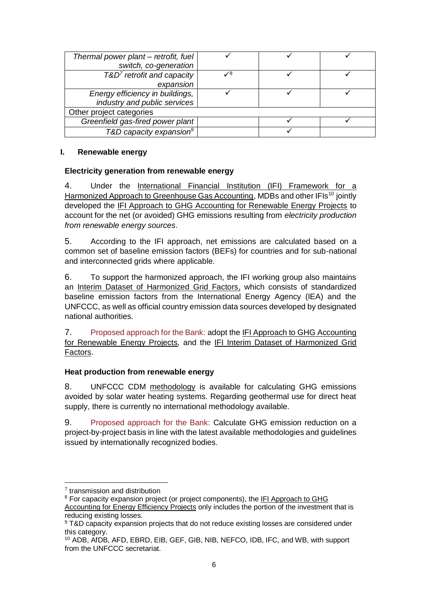| Thermal power plant – retrofit, fuel |                 |  |
|--------------------------------------|-----------------|--|
| switch, co-generation                |                 |  |
| $T&D7$ retrofit and capacity         | $\mathcal{N}^8$ |  |
| expansion                            |                 |  |
| Energy efficiency in buildings,      |                 |  |
| industry and public services         |                 |  |
| Other project categories             |                 |  |
| Greenfield gas-fired power plant     |                 |  |
| T&D capacity expansion <sup>9</sup>  |                 |  |

#### **I. Renewable energy**

#### **Electricity generation from renewable energy**

4. Under the [International Financial Institution \(IFI\) Framework for a](https://www.google.com.hk/url?sa=t&rct=j&q=&esrc=s&source=web&cd=1&ved=0ahUKEwiZzbmqk8rZAhVBSmMKHZpsDDEQFgglMAA&url=%68%74%74%70%73%3a%2f%2f%77%77%77%2e%74%68%65%67%65%66%2e%6f%72%67%2f%73%69%74%65%73%2f%64%65%66%61%75%6c%74%2f%66%69%6c%65%73%2f%66%69%6c%65%5f%61%74%74%61%63%68%2f%49%46%49%2d%48%61%72%6d%6f%6e%69%73%61%74%69%6f%6e%2d%46%72%61%6d%65%77%6f%72%6b%2d%47%48%47%25%32%30%41%63%63%6f%75%6e%74%69%6e%67%2d%32%30%31%35%2e%70%64%66&usg=AOvVaw31XMqo7hsIuHQyHXt1qhvi)  [Harmonized Approach to Greenhouse Gas Accounting,](https://www.google.com.hk/url?sa=t&rct=j&q=&esrc=s&source=web&cd=1&ved=0ahUKEwiZzbmqk8rZAhVBSmMKHZpsDDEQFgglMAA&url=%68%74%74%70%73%3a%2f%2f%77%77%77%2e%74%68%65%67%65%66%2e%6f%72%67%2f%73%69%74%65%73%2f%64%65%66%61%75%6c%74%2f%66%69%6c%65%73%2f%66%69%6c%65%5f%61%74%74%61%63%68%2f%49%46%49%2d%48%61%72%6d%6f%6e%69%73%61%74%69%6f%6e%2d%46%72%61%6d%65%77%6f%72%6b%2d%47%48%47%25%32%30%41%63%63%6f%75%6e%74%69%6e%67%2d%32%30%31%35%2e%70%64%66&usg=AOvVaw31XMqo7hsIuHQyHXt1qhvi) MDBs and other IFIs<sup>10</sup> jointly developed the [IFI Approach to GHG Accounting for Renewable Energy Projects](http://documents.worldbank.org/curated/en/758831468197412195/IFI-approach-to-GHG-accounting-for-renewable-energy-projects) to account for the net (or avoided) GHG emissions resulting from *electricity production from renewable energy sources*.

5. According to the IFI approach, net emissions are calculated based on a common set of baseline emission factors (BEFs) for countries and for sub-national and interconnected grids where applicable.

6. To support the harmonized approach, the IFI working group also maintains an [Interim Dataset of Harmonized Grid Factors,](http://greeninvestmentgroup.com/media/185865/ifi_interim_dataset_of_harmonized_grid_factors_v1-0-with-cover.xlsx) which consists of standardized baseline emission factors from the International Energy Agency (IEA) and the UNFCCC, as well as official country emission data sources developed by designated national authorities.

7. Proposed approach for the Bank: adopt the [IFI Approach to GHG Accounting](http://documents.worldbank.org/curated/en/758831468197412195/IFI-approach-to-GHG-accounting-for-renewable-energy-projects)  [for Renewable Energy Projects](http://documents.worldbank.org/curated/en/758831468197412195/IFI-approach-to-GHG-accounting-for-renewable-energy-projects)*,* and the [IFI Interim Dataset of Harmonized Grid](http://greeninvestmentgroup.com/media/185865/ifi_interim_dataset_of_harmonized_grid_factors_v1-0-with-cover.xlsx)  [Factors.](http://greeninvestmentgroup.com/media/185865/ifi_interim_dataset_of_harmonized_grid_factors_v1-0-with-cover.xlsx)

#### **Heat production from renewable energy**

8. UNFCCC CDM [methodology](https://www.google.com.hk/url?sa=t&rct=j&q=&esrc=s&source=web&cd=2&ved=0ahUKEwj8_tDiy83ZAhWCjJQKHVMwAjsQFggtMAE&url=%68%74%74%70%73%3a%2f%2f%63%64%6d%2e%75%6e%66%63%63%63%2e%69%6e%74%2f%6d%65%74%68%6f%64%6f%6c%6f%67%69%65%73%2f%76%69%65%77%3f%72%65%66%3d%41%4d%53%2d%49%2e%4a%2e&usg=AOvVaw03tqvwlswMXVGR3vbsAclq) is available for calculating GHG emissions avoided by solar water heating systems. Regarding geothermal use for direct heat supply, there is currently no international methodology available.

9. Proposed approach for the Bank: Calculate GHG emission reduction on a project-by-project basis in line with the latest available methodologies and guidelines issued by internationally recognized bodies.

**.** 

<sup>7</sup> transmission and distribution

<sup>&</sup>lt;sup>8</sup> For capacity expansion project (or project components), the IFI Approach to GHG [Accounting for Energy Efficiency Projects](http://documents.worldbank.org/curated/en/893531467991051828/IFI-approach-to-GHG-accounting-for-energy-efficiency-projects) only includes the portion of the investment that is reducing existing losses.

<sup>&</sup>lt;sup>9</sup> T&D capacity expansion projects that do not reduce existing losses are considered under this category.

<sup>10</sup> ADB, AfDB, AFD, EBRD, EIB, GEF, GIB, NIB, NEFCO, IDB, IFC, and WB, with support from the UNFCCC secretariat.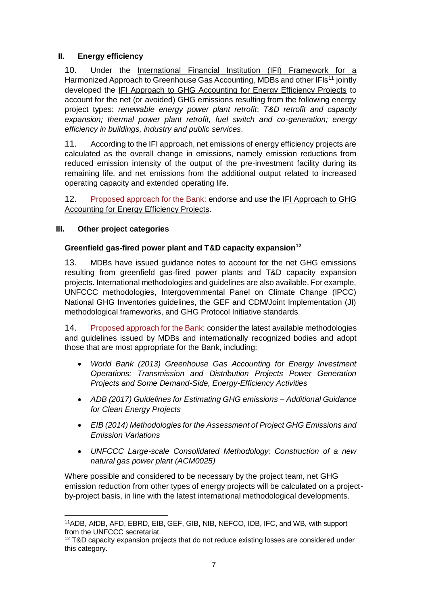# **II. Energy efficiency**

10. Under the [International Financial Institution \(IFI\) Framework for a](https://www.google.com.hk/url?sa=t&rct=j&q=&esrc=s&source=web&cd=1&ved=0ahUKEwiZzbmqk8rZAhVBSmMKHZpsDDEQFgglMAA&url=%68%74%74%70%73%3a%2f%2f%77%77%77%2e%74%68%65%67%65%66%2e%6f%72%67%2f%73%69%74%65%73%2f%64%65%66%61%75%6c%74%2f%66%69%6c%65%73%2f%66%69%6c%65%5f%61%74%74%61%63%68%2f%49%46%49%2d%48%61%72%6d%6f%6e%69%73%61%74%69%6f%6e%2d%46%72%61%6d%65%77%6f%72%6b%2d%47%48%47%25%32%30%41%63%63%6f%75%6e%74%69%6e%67%2d%32%30%31%35%2e%70%64%66&usg=AOvVaw31XMqo7hsIuHQyHXt1qhvi)  [Harmonized Approach to Greenhouse Gas Accounting,](https://www.google.com.hk/url?sa=t&rct=j&q=&esrc=s&source=web&cd=1&ved=0ahUKEwiZzbmqk8rZAhVBSmMKHZpsDDEQFgglMAA&url=%68%74%74%70%73%3a%2f%2f%77%77%77%2e%74%68%65%67%65%66%2e%6f%72%67%2f%73%69%74%65%73%2f%64%65%66%61%75%6c%74%2f%66%69%6c%65%73%2f%66%69%6c%65%5f%61%74%74%61%63%68%2f%49%46%49%2d%48%61%72%6d%6f%6e%69%73%61%74%69%6f%6e%2d%46%72%61%6d%65%77%6f%72%6b%2d%47%48%47%25%32%30%41%63%63%6f%75%6e%74%69%6e%67%2d%32%30%31%35%2e%70%64%66&usg=AOvVaw31XMqo7hsIuHQyHXt1qhvi) MDBs and other IFIs<sup>11</sup> jointly developed the [IFI Approach to GHG Accounting for Energy Efficiency Projects](http://documents.worldbank.org/curated/en/893531467991051828/IFI-approach-to-GHG-accounting-for-energy-efficiency-projects) to account for the net (or avoided) GHG emissions resulting from the following energy project types: *renewable energy power plant retrofit*; *T&D retrofit and capacity expansion; thermal power plant retrofit, fuel switch and co-generation; energy efficiency in buildings, industry and public services*.

11. According to the IFI approach, net emissions of energy efficiency projects are calculated as the overall change in emissions, namely emission reductions from reduced emission intensity of the output of the pre-investment facility during its remaining life, and net emissions from the additional output related to increased operating capacity and extended operating life.

12. Proposed approach for the Bank: endorse and use the IFI Approach to GHG [Accounting for Energy Efficiency Projects.](http://documents.worldbank.org/curated/en/893531467991051828/IFI-approach-to-GHG-accounting-for-energy-efficiency-projects)

## **III. Other project categories**

## **Greenfield gas-fired power plant and T&D capacity expansion<sup>12</sup>**

13. MDBs have issued guidance notes to account for the net GHG emissions resulting from greenfield gas-fired power plants and T&D capacity expansion projects. International methodologies and guidelines are also available. For example, UNFCCC methodologies, Intergovernmental Panel on Climate Change (IPCC) National GHG Inventories guidelines, the GEF and CDM/Joint Implementation (JI) methodological frameworks, and GHG Protocol Initiative standards.

14. Proposed approach for the Bank: consider the latest available methodologies and guidelines issued by MDBs and internationally recognized bodies and adopt those that are most appropriate for the Bank, including:

- *World Bank (2013) Greenhouse Gas Accounting for Energy Investment Operations: Transmission and Distribution Projects Power Generation Projects and Some Demand-Side, Energy-Efficiency Activities*
- *ADB (2017) Guidelines for Estimating GHG emissions – Additional Guidance for Clean Energy Projects*
- *EIB (2014) Methodologies for the Assessment of Project GHG Emissions and Emission Variations*
- *UNFCCC Large-scale Consolidated Methodology: Construction of a new natural gas power plant (ACM0025)*

Where possible and considered to be necessary by the project team, net GHG emission reduction from other types of energy projects will be calculated on a projectby-project basis, in line with the latest international methodological developments.

<sup>1</sup> <sup>11</sup>ADB, AfDB, AFD, EBRD, EIB, GEF, GIB, NIB, NEFCO, IDB, IFC, and WB, with support from the UNFCCC secretariat.

 $12$  T&D capacity expansion projects that do not reduce existing losses are considered under this category.